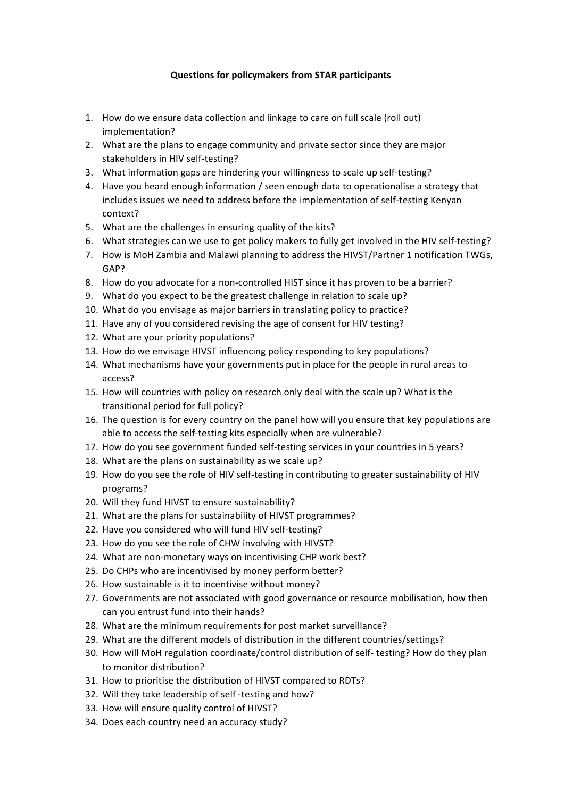## **Questions for policymakers from STAR participants**

- 1. How do we ensure data collection and linkage to care on full scale (roll out) implementation?
- 2. What are the plans to engage community and private sector since they are major stakeholders in HIV self-testing?
- 3. What information gaps are hindering your willingness to scale up self-testing?
- 4. Have you heard enough information / seen enough data to operationalise a strategy that includes issues we need to address before the implementation of self-testing Kenyan context?
- 5. What are the challenges in ensuring quality of the kits?
- 6. What strategies can we use to get policy makers to fully get involved in the HIV self-testing?
- 7. How is MoH Zambia and Malawi planning to address the HIVST/Partner 1 notification TWGs. GAP?
- 8. How do you advocate for a non-controlled HIST since it has proven to be a barrier?
- 9. What do you expect to be the greatest challenge in relation to scale up?
- 10. What do you envisage as major barriers in translating policy to practice?
- 11. Have any of you considered revising the age of consent for HIV testing?
- 12. What are your priority populations?
- 13. How do we envisage HIVST influencing policy responding to key populations?
- 14. What mechanisms have your governments put in place for the people in rural areas to access?
- 15. How will countries with policy on research only deal with the scale up? What is the transitional period for full policy?
- 16. The question is for every country on the panel how will you ensure that key populations are able to access the self-testing kits especially when are vulnerable?
- 17. How do you see government funded self-testing services in your countries in 5 years?
- 18. What are the plans on sustainability as we scale up?
- 19. How do you see the role of HIV self-testing in contributing to greater sustainability of HIV programs?
- 20. Will they fund HIVST to ensure sustainability?
- 21. What are the plans for sustainability of HIVST programmes?
- 22. Have you considered who will fund HIV self-testing?
- 23. How do you see the role of CHW involving with HIVST?
- 24. What are non-monetary ways on incentivising CHP work best?
- 25. Do CHPs who are incentivised by money perform better?
- 26. How sustainable is it to incentivise without money?
- 27. Governments are not associated with good governance or resource mobilisation, how then can you entrust fund into their hands?
- 28. What are the minimum requirements for post market surveillance?
- 29. What are the different models of distribution in the different countries/settings?
- 30. How will MoH regulation coordinate/control distribution of self- testing? How do they plan to monitor distribution?
- 31. How to prioritise the distribution of HIVST compared to RDTs?
- 32. Will they take leadership of self-testing and how?
- 33. How will ensure quality control of HIVST?
- 34. Does each country need an accuracy study?